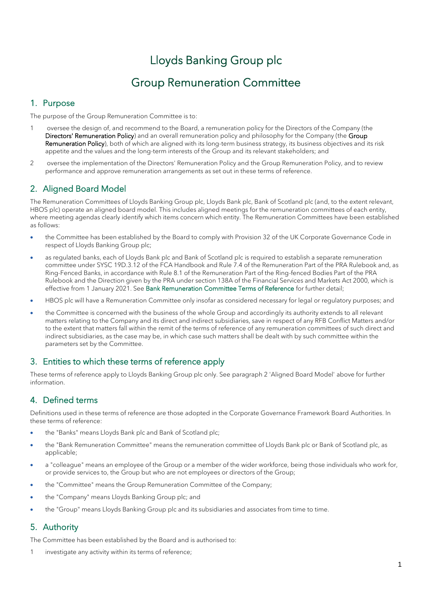# Lloyds Banking Group plc

# Group Remuneration Committee

## 1. Purpose

The purpose of the Group Remuneration Committee is to:

- 1 oversee the design of, and recommend to the Board, a remuneration policy for the Directors of the Company (the Directors' Remuneration Policy) and an overall remuneration policy and philosophy for the Company (the Group Remuneration Policy), both of which are aligned with its long-term business strategy, its business objectives and its risk appetite and the values and the long-term interests of the Group and its relevant stakeholders; and
- 2 oversee the implementation of the Directors' Remuneration Policy and the Group Remuneration Policy, and to review performance and approve remuneration arrangements as set out in these terms of reference.

## 2. Aligned Board Model

The Remuneration Committees of Lloyds Banking Group plc, Lloyds Bank plc, Bank of Scotland plc (and, to the extent relevant, HBOS plc) operate an aligned board model. This includes aligned meetings for the remuneration committees of each entity, where meeting agendas clearly identify which items concern which entity. The Remuneration Committees have been established as follows:

- the Committee has been established by the Board to comply with Provision 32 of the UK Corporate Governance Code in respect of Lloyds Banking Group plc;
- as regulated banks, each of Lloyds Bank plc and Bank of Scotland plc is required to establish a separate remuneration committee under SYSC 19D.3.12 of the FCA Handbook and Rule 7.4 of the Remuneration Part of the PRA Rulebook and, as Ring-Fenced Banks, in accordance with Rule 8.1 of the Remuneration Part of the Ring-fenced Bodies Part of the PRA Rulebook and the Direction given by the PRA under section 138A of the Financial Services and Markets Act 2000, which is effective from 1 January 2021. See Bank Remuneration Committee Terms of Reference for further detail;
- HBOS plc will have a Remuneration Committee only insofar as considered necessary for legal or regulatory purposes; and
- the Committee is concerned with the business of the whole Group and accordingly its authority extends to all relevant matters relating to the Company and its direct and indirect subsidiaries, save in respect of any RFB Conflict Matters and/or to the extent that matters fall within the remit of the terms of reference of any remuneration committees of such direct and indirect subsidiaries, as the case may be, in which case such matters shall be dealt with by such committee within the parameters set by the Committee.

## 3. Entities to which these terms of reference apply

These terms of reference apply to Lloyds Banking Group plc only. See paragraph 2 'Aligned Board Model' above for further information.

## 4. Defined terms

Definitions used in these terms of reference are those adopted in the Corporate Governance Framework Board Authorities. In these terms of reference:

- the "Banks" means Lloyds Bank plc and Bank of Scotland plc;
- the "Bank Remuneration Committee" means the remuneration committee of Lloyds Bank plc or Bank of Scotland plc, as applicable;
- a "colleague" means an employee of the Group or a member of the wider workforce, being those individuals who work for, or provide services to, the Group but who are not employees or directors of the Group;
- the "Committee" means the Group Remuneration Committee of the Company;
- the "Company" means Lloyds Banking Group plc; and
- the "Group" means Lloyds Banking Group plc and its subsidiaries and associates from time to time.

## 5. Authority

The Committee has been established by the Board and is authorised to:

1 investigate any activity within its terms of reference;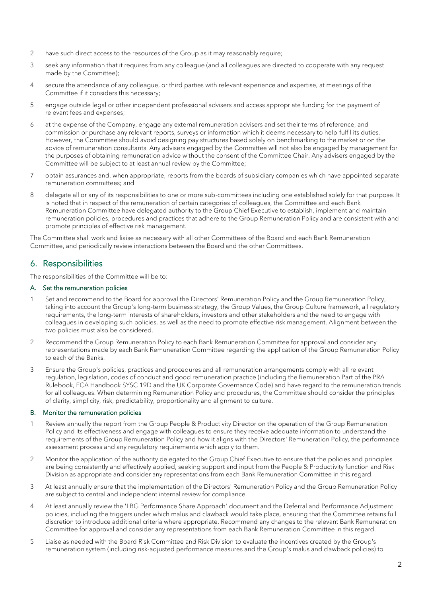- 2 have such direct access to the resources of the Group as it may reasonably require;
- 3 seek any information that it requires from any colleague (and all colleagues are directed to cooperate with any request made by the Committee);
- 4 secure the attendance of any colleague, or third parties with relevant experience and expertise, at meetings of the Committee if it considers this necessary;
- 5 engage outside legal or other independent professional advisers and access appropriate funding for the payment of relevant fees and expenses;
- 6 at the expense of the Company, engage any external remuneration advisers and set their terms of reference, and commission or purchase any relevant reports, surveys or information which it deems necessary to help fulfil its duties. However, the Committee should avoid designing pay structures based solely on benchmarking to the market or on the advice of remuneration consultants. Any advisers engaged by the Committee will not also be engaged by management for the purposes of obtaining remuneration advice without the consent of the Committee Chair. Any advisers engaged by the Committee will be subject to at least annual review by the Committee;
- 7 obtain assurances and, when appropriate, reports from the boards of subsidiary companies which have appointed separate remuneration committees; and
- 8 delegate all or any of its responsibilities to one or more sub-committees including one established solely for that purpose. It is noted that in respect of the remuneration of certain categories of colleagues, the Committee and each Bank Remuneration Committee have delegated authority to the Group Chief Executive to establish, implement and maintain remuneration policies, procedures and practices that adhere to the Group Remuneration Policy and are consistent with and promote principles of effective risk management.

The Committee shall work and liaise as necessary with all other Committees of the Board and each Bank Remuneration Committee, and periodically review interactions between the Board and the other Committees.

## 6. Responsibilities

The responsibilities of the Committee will be to:

#### A. Set the remuneration policies

- 1 Set and recommend to the Board for approval the Directors' Remuneration Policy and the Group Remuneration Policy, taking into account the Group's long-term business strategy, the Group Values, the Group Culture framework, all regulatory requirements, the long-term interests of shareholders, investors and other stakeholders and the need to engage with colleagues in developing such policies, as well as the need to promote effective risk management. Alignment between the two policies must also be considered.
- 2 Recommend the Group Remuneration Policy to each Bank Remuneration Committee for approval and consider any representations made by each Bank Remuneration Committee regarding the application of the Group Remuneration Policy to each of the Banks.
- 3 Ensure the Group's policies, practices and procedures and all remuneration arrangements comply with all relevant regulation, legislation, codes of conduct and good remuneration practice (including the Remuneration Part of the PRA Rulebook, FCA Handbook SYSC 19D and the UK Corporate Governance Code) and have regard to the remuneration trends for all colleagues. When determining Remuneration Policy and procedures, the Committee should consider the principles of clarity, simplicity, risk, predictability, proportionality and alignment to culture.

#### B. Monitor the remuneration policies

- 1 Review annually the report from the Group People & Productivity Director on the operation of the Group Remuneration Policy and its effectiveness and engage with colleagues to ensure they receive adequate information to understand the requirements of the Group Remuneration Policy and how it aligns with the Directors' Remuneration Policy, the performance assessment process and any regulatory requirements which apply to them.
- 2 Monitor the application of the authority delegated to the Group Chief Executive to ensure that the policies and principles are being consistently and effectively applied, seeking support and input from the People & Productivity function and Risk Division as appropriate and consider any representations from each Bank Remuneration Committee in this regard.
- 3 At least annually ensure that the implementation of the Directors' Remuneration Policy and the Group Remuneration Policy are subject to central and independent internal review for compliance.
- 4 At least annually review the 'LBG Performance Share Approach' document and the Deferral and Performance Adjustment policies, including the triggers under which malus and clawback would take place, ensuring that the Committee retains full discretion to introduce additional criteria where appropriate. Recommend any changes to the relevant Bank Remuneration Committee for approval and consider any representations from each Bank Remuneration Committee in this regard.
- 5 Liaise as needed with the Board Risk Committee and Risk Division to evaluate the incentives created by the Group's remuneration system (including risk-adjusted performance measures and the Group's malus and clawback policies) to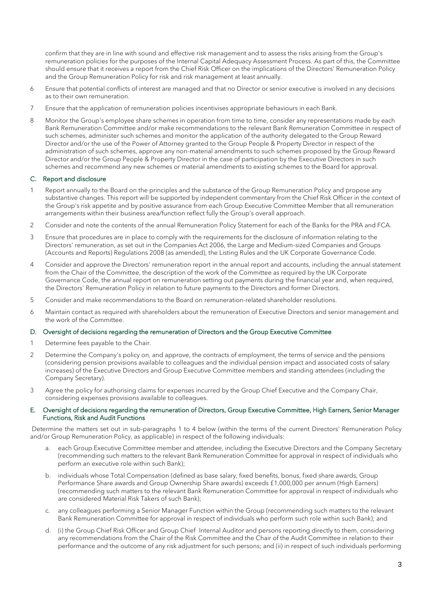confirm that they are in line with sound and effective risk management and to assess the risks arising from the Group's remuneration policies for the purposes of the Internal Capital Adequacy Assessment Process. As part of this, the Committee should ensure that it receives a report from the Chief Risk Officer on the implications of the Directors' Remuneration Policy and the Group Remuneration Policy for risk and risk management at least annually.

- 6 Ensure that potential conflicts of interest are managed and that no Director or senior executive is involved in any decisions as to their own remuneration.
- 7 Ensure that the application of remuneration policies incentivises appropriate behaviours in each Bank.
- 8 Monitor the Group's employee share schemes in operation from time to time, consider any representations made by each Bank Remuneration Committee and/or make recommendations to the relevant Bank Remuneration Committee in respect of such schemes, administer such schemes and monitor the application of the authority delegated to the Group Reward Director and/or the use of the Power of Attorney granted to the Group People & Property Director in respect of the administration of such schemes, approve any non-material amendments to such schemes proposed by the Group Reward Director and/or the Group People & Property Director in the case of participation by the Executive Directors in such schemes and recommend any new schemes or material amendments to existing schemes to the Board for approval.

#### C. Report and disclosure

- 1 Report annually to the Board on the principles and the substance of the Group Remuneration Policy and propose any substantive changes. This report will be supported by independent commentary from the Chief Risk Officer in the context of the Group's risk appetite and by positive assurance from each Group Executive Committee Member that all remuneration arrangements within their business area/function reflect fully the Group's overall approach.
- 2 Consider and note the contents of the annual Remuneration Policy Statement for each of the Banks for the PRA and FCA.
- 3 Ensure that procedures are in place to comply with the requirements for the disclosure of information relating to the Directors' remuneration, as set out in the Companies Act 2006, the Large and Medium-sized Companies and Groups (Accounts and Reports) Regulations 2008 (as amended), the Listing Rules and the UK Corporate Governance Code.
- 4 Consider and approve the Directors' remuneration report in the annual report and accounts, including the annual statement from the Chair of the Committee, the description of the work of the Committee as required by the UK Corporate Governance Code, the annual report on remuneration setting out payments during the financial year and, when required, the Directors' Remuneration Policy in relation to future payments to the Directors and former Directors.
- 5 Consider and make recommendations to the Board on remuneration-related shareholder resolutions.
- 6 Maintain contact as required with shareholders about the remuneration of Executive Directors and senior management and the work of the Committee.

#### D. Oversight of decisions regarding the remuneration of Directors and the Group Executive Committee

- 1 Determine fees payable to the Chair.
- 2 Determine the Company's policy on, and approve, the contracts of employment, the terms of service and the pensions (considering pension provisions available to colleagues and the individual pension impact and associated costs of salary increases) of the Executive Directors and Group Executive Committee members and standing attendees (including the Company Secretary).
- 3 Agree the policy for authorising claims for expenses incurred by the Group Chief Executive and the Company Chair, considering expenses provisions available to colleagues.

#### E. Oversight of decisions regarding the remuneration of Directors, Group Executive Committee, High Earners, Senior Manager Functions, Risk and Audit Functions

Determine the matters set out in sub-paragraphs 1 to 4 below (within the terms of the current Directors' Remuneration Policy and/or Group Remuneration Policy, as applicable) in respect of the following individuals:

- a. each Group Executive Committee member and attendee, including the Executive Directors and the Company Secretary (recommending such matters to the relevant Bank Remuneration Committee for approval in respect of individuals who perform an executive role within such Bank);
- b. individuals whose Total Compensation (defined as base salary, fixed benefits, bonus, fixed share awards, Group Performance Share awards and Group Ownership Share awards) exceeds £1,000,000 per annum (High Earners) (recommending such matters to the relevant Bank Remuneration Committee for approval in respect of individuals who are considered Material Risk Takers of such Bank);
- c. any colleagues performing a Senior Manager Function within the Group (recommending such matters to the relevant Bank Remuneration Committee for approval in respect of individuals who perform such role within such Bank); and
- d. (i) the Group Chief Risk Officer and Group Chief Internal Auditor and persons reporting directly to them, considering any recommendations from the Chair of the Risk Committee and the Chair of the Audit Committee in relation to their performance and the outcome of any risk adjustment for such persons; and (ii) in respect of such individuals performing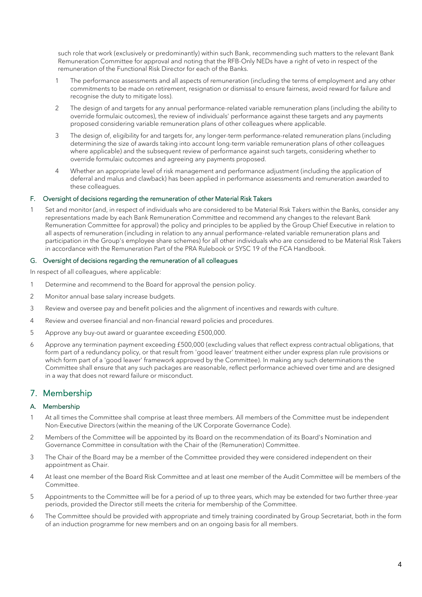such role that work (exclusively or predominantly) within such Bank, recommending such matters to the relevant Bank Remuneration Committee for approval and noting that the RFB-Only NEDs have a right of veto in respect of the remuneration of the Functional Risk Director for each of the Banks.

- 1 The performance assessments and all aspects of remuneration (including the terms of employment and any other commitments to be made on retirement, resignation or dismissal to ensure fairness, avoid reward for failure and recognise the duty to mitigate loss).
- 2 The design of and targets for any annual performance-related variable remuneration plans (including the ability to override formulaic outcomes), the review of individuals' performance against these targets and any payments proposed considering variable remuneration plans of other colleagues where applicable.
- 3 The design of, eligibility for and targets for, any longer-term performance-related remuneration plans (including determining the size of awards taking into account long-term variable remuneration plans of other colleagues where applicable) and the subsequent review of performance against such targets, considering whether to override formulaic outcomes and agreeing any payments proposed.
- 4 Whether an appropriate level of risk management and performance adjustment (including the application of deferral and malus and clawback) has been applied in performance assessments and remuneration awarded to these colleagues.

#### F. Oversight of decisions regarding the remuneration of other Material Risk Takers

Set and monitor (and, in respect of individuals who are considered to be Material Risk Takers within the Banks, consider any representations made by each Bank Remuneration Committee and recommend any changes to the relevant Bank Remuneration Committee for approval) the policy and principles to be applied by the Group Chief Executive in relation to all aspects of remuneration (including in relation to any annual performance-related variable remuneration plans and participation in the Group's employee share schemes) for all other individuals who are considered to be Material Risk Takers in accordance with the Remuneration Part of the PRA Rulebook or SYSC 19 of the FCA Handbook.

#### G. Oversight of decisions regarding the remuneration of all colleagues

In respect of all colleagues, where applicable:

- 1 Determine and recommend to the Board for approval the pension policy.
- 2 Monitor annual base salary increase budgets.
- 3 Review and oversee pay and benefit policies and the alignment of incentives and rewards with culture.
- 4 Review and oversee financial and non-financial reward policies and procedures.
- 5 Approve any buy-out award or guarantee exceeding £500,000.
- 6 Approve any termination payment exceeding £500,000 (excluding values that reflect express contractual obligations, that form part of a redundancy policy, or that result from 'good leaver' treatment either under express plan rule provisions or which form part of a 'good leaver' framework approved by the Committee). In making any such determinations the Committee shall ensure that any such packages are reasonable, reflect performance achieved over time and are designed in a way that does not reward failure or misconduct.

## 7. Membership

#### A. Membership

- 1 At all times the Committee shall comprise at least three members. All members of the Committee must be independent Non-Executive Directors (within the meaning of the UK Corporate Governance Code).
- 2 Members of the Committee will be appointed by its Board on the recommendation of its Board's Nomination and Governance Committee in consultation with the Chair of the (Remuneration) Committee.
- 3 The Chair of the Board may be a member of the Committee provided they were considered independent on their appointment as Chair.
- 4 At least one member of the Board Risk Committee and at least one member of the Audit Committee will be members of the Committee.
- 5 Appointments to the Committee will be for a period of up to three years, which may be extended for two further three-year periods, provided the Director still meets the criteria for membership of the Committee.
- 6 The Committee should be provided with appropriate and timely training coordinated by Group Secretariat, both in the form of an induction programme for new members and on an ongoing basis for all members.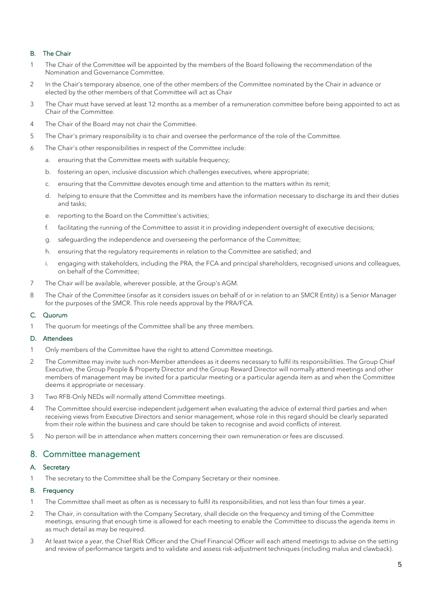#### B. The Chair

- 1 The Chair of the Committee will be appointed by the members of the Board following the recommendation of the Nomination and Governance Committee.
- 2 In the Chair's temporary absence, one of the other members of the Committee nominated by the Chair in advance or elected by the other members of that Committee will act as Chair
- 3 The Chair must have served at least 12 months as a member of a remuneration committee before being appointed to act as Chair of the Committee.
- 4 The Chair of the Board may not chair the Committee.
- 5 The Chair's primary responsibility is to chair and oversee the performance of the role of the Committee.
- 6 The Chair's other responsibilities in respect of the Committee include:
	- a. ensuring that the Committee meets with suitable frequency;
	- b. fostering an open, inclusive discussion which challenges executives, where appropriate;
	- c. ensuring that the Committee devotes enough time and attention to the matters within its remit;
	- d. helping to ensure that the Committee and its members have the information necessary to discharge its and their duties and tasks;
	- e. reporting to the Board on the Committee's activities;
	- f. facilitating the running of the Committee to assist it in providing independent oversight of executive decisions;
	- g. safeguarding the independence and overseeing the performance of the Committee;
	- h. ensuring that the regulatory requirements in relation to the Committee are satisfied; and
	- i. engaging with stakeholders, including the PRA, the FCA and principal shareholders, recognised unions and colleagues, on behalf of the Committee;
- 7 The Chair will be available, wherever possible, at the Group's AGM.
- 8 The Chair of the Committee (insofar as it considers issues on behalf of or in relation to an SMCR Entity) is a Senior Manager for the purposes of the SMCR. This role needs approval by the PRA/FCA.

#### C. Quorum

1 The quorum for meetings of the Committee shall be any three members.

#### D. Attendees

- 1 Only members of the Committee have the right to attend Committee meetings.
- 2 The Committee may invite such non-Member attendees as it deems necessary to fulfil its responsibilities. The Group Chief Executive, the Group People & Property Director and the Group Reward Director will normally attend meetings and other members of management may be invited for a particular meeting or a particular agenda item as and when the Committee deems it appropriate or necessary.
- 3 Two RFB-Only NEDs will normally attend Committee meetings.
- 4 The Committee should exercise independent judgement when evaluating the advice of external third parties and when receiving views from Executive Directors and senior management, whose role in this regard should be clearly separated from their role within the business and care should be taken to recognise and avoid conflicts of interest.
- 5 No person will be in attendance when matters concerning their own remuneration or fees are discussed.

## 8. Committee management

#### A. Secretary

1 The secretary to the Committee shall be the Company Secretary or their nominee.

#### B. Frequency

- 1 The Committee shall meet as often as is necessary to fulfil its responsibilities, and not less than four times a year.
- 2 The Chair, in consultation with the Company Secretary, shall decide on the frequency and timing of the Committee meetings, ensuring that enough time is allowed for each meeting to enable the Committee to discuss the agenda items in as much detail as may be required.
- 3 At least twice a year, the Chief Risk Officer and the Chief Financial Officer will each attend meetings to advise on the setting and review of performance targets and to validate and assess risk-adjustment techniques (including malus and clawback).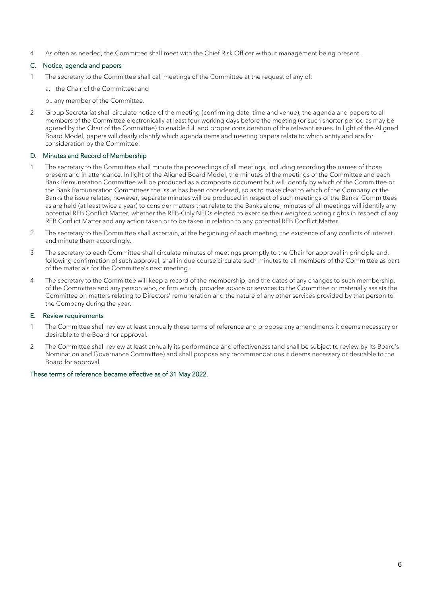4 As often as needed, the Committee shall meet with the Chief Risk Officer without management being present.

#### C. Notice, agenda and papers

- 1 The secretary to the Committee shall call meetings of the Committee at the request of any of:
	- a. the Chair of the Committee; and
	- b.. any member of the Committee.
- 2 Group Secretariat shall circulate notice of the meeting (confirming date, time and venue), the agenda and papers to all members of the Committee electronically at least four working days before the meeting (or such shorter period as may be agreed by the Chair of the Committee) to enable full and proper consideration of the relevant issues. In light of the Aligned Board Model, papers will clearly identify which agenda items and meeting papers relate to which entity and are for consideration by the Committee.

#### D. Minutes and Record of Membership

- 1 The secretary to the Committee shall minute the proceedings of all meetings, including recording the names of those present and in attendance. In light of the Aligned Board Model, the minutes of the meetings of the Committee and each Bank Remuneration Committee will be produced as a composite document but will identify by which of the Committee or the Bank Remuneration Committees the issue has been considered, so as to make clear to which of the Company or the Banks the issue relates; however, separate minutes will be produced in respect of such meetings of the Banks' Committees as are held (at least twice a year) to consider matters that relate to the Banks alone; minutes of all meetings will identify any potential RFB Conflict Matter, whether the RFB-Only NEDs elected to exercise their weighted voting rights in respect of any RFB Conflict Matter and any action taken or to be taken in relation to any potential RFB Conflict Matter.
- 2 The secretary to the Committee shall ascertain, at the beginning of each meeting, the existence of any conflicts of interest and minute them accordingly.
- 3 The secretary to each Committee shall circulate minutes of meetings promptly to the Chair for approval in principle and, following confirmation of such approval, shall in due course circulate such minutes to all members of the Committee as part of the materials for the Committee's next meeting.
- 4 The secretary to the Committee will keep a record of the membership, and the dates of any changes to such membership, of the Committee and any person who, or firm which, provides advice or services to the Committee or materially assists the Committee on matters relating to Directors' remuneration and the nature of any other services provided by that person to the Company during the year.

#### E. Review requirements

- 1 The Committee shall review at least annually these terms of reference and propose any amendments it deems necessary or desirable to the Board for approval.
- 2 The Committee shall review at least annually its performance and effectiveness (and shall be subject to review by its Board's Nomination and Governance Committee) and shall propose any recommendations it deems necessary or desirable to the Board for approval.

#### These terms of reference became effective as of 31 May 2022.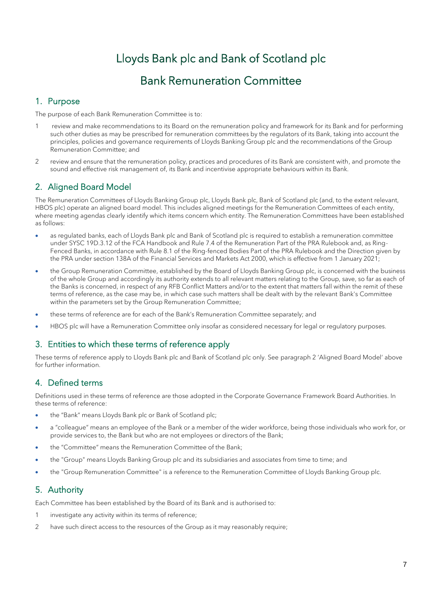# Lloyds Bank plc and Bank of Scotland plc

## Bank Remuneration Committee

## 1. Purpose

The purpose of each Bank Remuneration Committee is to:

- 1 review and make recommendations to its Board on the remuneration policy and framework for its Bank and for performing such other duties as may be prescribed for remuneration committees by the regulators of its Bank, taking into account the principles, policies and governance requirements of Lloyds Banking Group plc and the recommendations of the Group Remuneration Committee; and
- 2 review and ensure that the remuneration policy, practices and procedures of its Bank are consistent with, and promote the sound and effective risk management of, its Bank and incentivise appropriate behaviours within its Bank.

## 2. Aligned Board Model

The Remuneration Committees of Lloyds Banking Group plc, Lloyds Bank plc, Bank of Scotland plc (and, to the extent relevant, HBOS plc) operate an aligned board model. This includes aligned meetings for the Remuneration Committees of each entity, where meeting agendas clearly identify which items concern which entity. The Remuneration Committees have been established as follows:

- as regulated banks, each of Lloyds Bank plc and Bank of Scotland plc is required to establish a remuneration committee under SYSC 19D.3.12 of the FCA Handbook and Rule 7.4 of the Remuneration Part of the PRA Rulebook and, as Ring-Fenced Banks, in accordance with Rule 8.1 of the Ring-fenced Bodies Part of the PRA Rulebook and the Direction given by the PRA under section 138A of the Financial Services and Markets Act 2000, which is effective from 1 January 2021;
- the Group Remuneration Committee, established by the Board of Lloyds Banking Group plc, is concerned with the business of the whole Group and accordingly its authority extends to all relevant matters relating to the Group, save, so far as each of the Banks is concerned, in respect of any RFB Conflict Matters and/or to the extent that matters fall within the remit of these terms of reference, as the case may be, in which case such matters shall be dealt with by the relevant Bank's Committee within the parameters set by the Group Remuneration Committee;
- these terms of reference are for each of the Bank's Remuneration Committee separately; and
- HBOS plc will have a Remuneration Committee only insofar as considered necessary for legal or regulatory purposes.

## 3. Entities to which these terms of reference apply

These terms of reference apply to Lloyds Bank plc and Bank of Scotland plc only. See paragraph 2 'Aligned Board Model' above for further information.

## 4. Defined terms

Definitions used in these terms of reference are those adopted in the Corporate Governance Framework Board Authorities. In these terms of reference:

- the "Bank" means Lloyds Bank plc or Bank of Scotland plc;
- a "colleague" means an employee of the Bank or a member of the wider workforce, being those individuals who work for, or provide services to, the Bank but who are not employees or directors of the Bank;
- the "Committee" means the Remuneration Committee of the Bank;
- the "Group" means Lloyds Banking Group plc and its subsidiaries and associates from time to time; and
- the "Group Remuneration Committee" is a reference to the Remuneration Committee of Lloyds Banking Group plc.

## 5. Authority

Each Committee has been established by the Board of its Bank and is authorised to:

- 1 investigate any activity within its terms of reference;
- 2 have such direct access to the resources of the Group as it may reasonably require;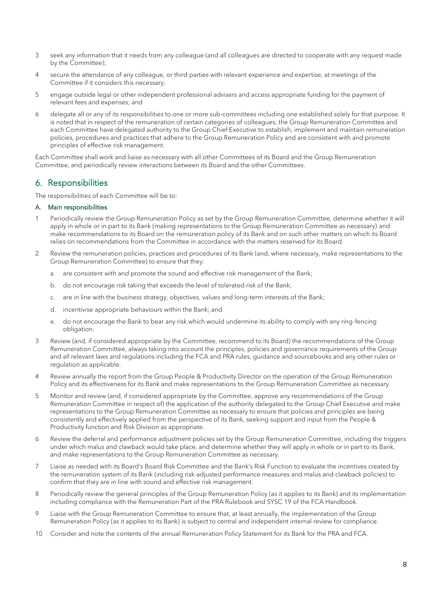- 3 seek any information that it needs from any colleague (and all colleagues are directed to cooperate with any request made by the Committee);
- 4 secure the attendance of any colleague, or third parties with relevant experience and expertise, at meetings of the Committee if it considers this necessary;
- 5 engage outside legal or other independent professional advisers and access appropriate funding for the payment of relevant fees and expenses; and
- 6 delegate all or any of its responsibilities to one or more sub-committees including one established solely for that purpose. It is noted that in respect of the remuneration of certain categories of colleagues, the Group Remuneration Committee and each Committee have delegated authority to the Group Chief Executive to establish, implement and maintain remuneration policies, procedures and practices that adhere to the Group Remuneration Policy and are consistent with and promote principles of effective risk management.

Each Committee shall work and liaise as necessary with all other Committees of its Board and the Group Remuneration Committee, and periodically review interactions between its Board and the other Committees.

## 6. Responsibilities

The responsibilities of each Committee will be to:

#### A. Main responsibilities

- 1 Periodically review the Group Remuneration Policy as set by the Group Remuneration Committee, determine whether it will apply in whole or in part to its Bank (making representations to the Group Remuneration Committee as necessary) and make recommendations to its Board on the remuneration policy of its Bank and on such other matters on which its Board relies on recommendations from the Committee in accordance with the matters reserved for its Board.
- 2 Review the remuneration policies, practices and procedures of its Bank (and, where necessary, make representations to the Group Remuneration Committee) to ensure that they:
	- a. are consistent with and promote the sound and effective risk management of the Bank;
	- b. do not encourage risk taking that exceeds the level of tolerated risk of the Bank;
	- c. are in line with the business strategy, objectives, values and long-term interests of the Bank;
	- d. incentivise appropriate behaviours within the Bank; and
	- e. do not encourage the Bank to bear any risk which would undermine its ability to comply with any ring-fencing obligation.
- 3 Review (and, if considered appropriate by the Committee, recommend to its Board) the recommendations of the Group Remuneration Committee, always taking into account the principles, policies and governance requirements of the Group and all relevant laws and regulations including the FCA and PRA rules, guidance and sourcebooks and any other rules or regulation as applicable.
- 4 Review annually the report from the Group People & Productivity Director on the operation of the Group Remuneration Policy and its effectiveness for its Bank and make representations to the Group Remuneration Committee as necessary.
- 5 Monitor and review (and, if considered appropriate by the Committee, approve any recommendations of the Group Remuneration Committee in respect of) the application of the authority delegated to the Group Chief Executive and make representations to the Group Remuneration Committee as necessary to ensure that policies and principles are being consistently and effectively applied from the perspective of its Bank, seeking support and input from the People & Productivity function and Risk Division as appropriate.
- 6 Review the deferral and performance adjustment policies set by the Group Remuneration Committee, including the triggers under which malus and clawback would take place, and determine whether they will apply in whole or in part to its Bank, and make representations to the Group Remuneration Committee as necessary.
- 7 Liaise as needed with its Board's Board Risk Committee and the Bank's Risk Function to evaluate the incentives created by the remuneration system of its Bank (including risk-adjusted performance measures and malus and clawback policies) to confirm that they are in line with sound and effective risk management.
- 8 Periodically review the general principles of the Group Remuneration Policy (as it applies to its Bank) and its implementation including compliance with the Remuneration Part of the PRA Rulebook and SYSC 19 of the FCA Handbook.
- 9 Liaise with the Group Remuneration Committee to ensure that, at least annually, the implementation of the Group Remuneration Policy (as it applies to its Bank) is subject to central and independent internal review for compliance.
- 10 Consider and note the contents of the annual Remuneration Policy Statement for its Bank for the PRA and FCA.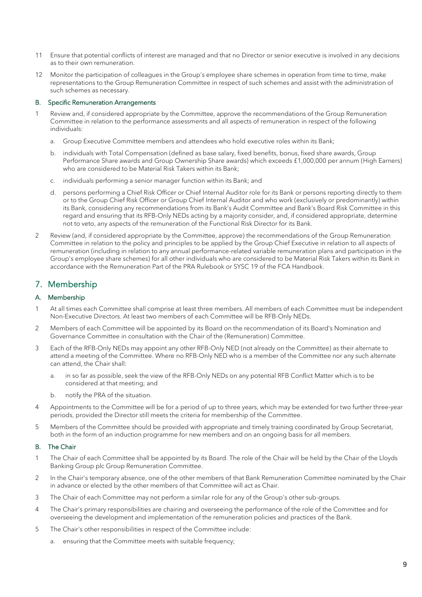- 11 Ensure that potential conflicts of interest are managed and that no Director or senior executive is involved in any decisions as to their own remuneration.
- 12 Monitor the participation of colleagues in the Group's employee share schemes in operation from time to time, make representations to the Group Remuneration Committee in respect of such schemes and assist with the administration of such schemes as necessary.

#### B. Specific Remuneration Arrangements

- Review and, if considered appropriate by the Committee, approve the recommendations of the Group Remuneration Committee in relation to the performance assessments and all aspects of remuneration in respect of the following individuals:
	- a. Group Executive Committee members and attendees who hold executive roles within its Bank;
	- b. individuals with Total Compensation (defined as base salary, fixed benefits, bonus, fixed share awards, Group Performance Share awards and Group Ownership Share awards) which exceeds £1,000,000 per annum (High Earners) who are considered to be Material Risk Takers within its Bank;
	- c. individuals performing a senior manager function within its Bank; and
	- d. persons performing a Chief Risk Officer or Chief Internal Auditor role for its Bank or persons reporting directly to them or to the Group Chief Risk Officer or Group Chief Internal Auditor and who work (exclusively or predominantly) within its Bank, considering any recommendations from its Bank's Audit Committee and Bank's Board Risk Committee in this regard and ensuring that its RFB-Only NEDs acting by a majority consider, and, if considered appropriate, determine not to veto, any aspects of the remuneration of the Functional Risk Director for its Bank.
- 2 Review (and, if considered appropriate by the Committee, approve) the recommendations of the Group Remuneration Committee in relation to the policy and principles to be applied by the Group Chief Executive in relation to all aspects of remuneration (including in relation to any annual performance-related variable remuneration plans and participation in the Group's employee share schemes) for all other individuals who are considered to be Material Risk Takers within its Bank in accordance with the Remuneration Part of the PRA Rulebook or SYSC 19 of the FCA Handbook.

## 7. Membership

#### A. Membership

- 1 At all times each Committee shall comprise at least three members. All members of each Committee must be independent Non-Executive Directors. At least two members of each Committee will be RFB-Only NEDs.
- 2 Members of each Committee will be appointed by its Board on the recommendation of its Board's Nomination and Governance Committee in consultation with the Chair of the (Remuneration) Committee.
- 3 Each of the RFB-Only NEDs may appoint any other RFB-Only NED (not already on the Committee) as their alternate to attend a meeting of the Committee. Where no RFB-Only NED who is a member of the Committee nor any such alternate can attend, the Chair shall:
	- a. in so far as possible, seek the view of the RFB-Only NEDs on any potential RFB Conflict Matter which is to be considered at that meeting; and
	- b. notify the PRA of the situation.
- 4 Appointments to the Committee will be for a period of up to three years, which may be extended for two further three-year periods, provided the Director still meets the criteria for membership of the Committee.
- 5 Members of the Committee should be provided with appropriate and timely training coordinated by Group Secretariat, both in the form of an induction programme for new members and on an ongoing basis for all members.

#### B. The Chair

- 1 The Chair of each Committee shall be appointed by its Board. The role of the Chair will be held by the Chair of the Lloyds Banking Group plc Group Remuneration Committee.
- 2 In the Chair's temporary absence, one of the other members of that Bank Remuneration Committee nominated by the Chair in advance or elected by the other members of that Committee will act as Chair.
- 3 The Chair of each Committee may not perform a similar role for any of the Group's other sub-groups.
- 4 The Chair's primary responsibilities are chairing and overseeing the performance of the role of the Committee and for overseeing the development and implementation of the remuneration policies and practices of the Bank.
- 5 The Chair's other responsibilities in respect of the Committee include:
	- a. ensuring that the Committee meets with suitable frequency: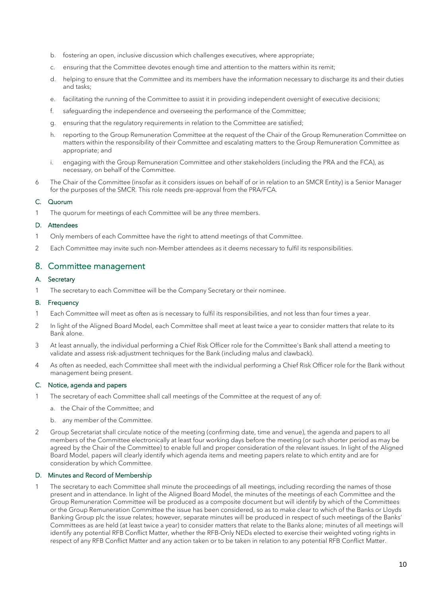- b. fostering an open, inclusive discussion which challenges executives, where appropriate;
- c. ensuring that the Committee devotes enough time and attention to the matters within its remit;
- d. helping to ensure that the Committee and its members have the information necessary to discharge its and their duties and tasks;
- e. facilitating the running of the Committee to assist it in providing independent oversight of executive decisions;
- f. safeguarding the independence and overseeing the performance of the Committee;
- g. ensuring that the regulatory requirements in relation to the Committee are satisfied;
- h. reporting to the Group Remuneration Committee at the request of the Chair of the Group Remuneration Committee on matters within the responsibility of their Committee and escalating matters to the Group Remuneration Committee as appropriate; and
- i. engaging with the Group Remuneration Committee and other stakeholders (including the PRA and the FCA), as necessary, on behalf of the Committee.
- 6 The Chair of the Committee (insofar as it considers issues on behalf of or in relation to an SMCR Entity) is a Senior Manager for the purposes of the SMCR. This role needs pre-approval from the PRA/FCA.

#### C. Quorum

The quorum for meetings of each Committee will be any three members.

#### D. Attendees

- 1 Only members of each Committee have the right to attend meetings of that Committee.
- 2 Each Committee may invite such non-Member attendees as it deems necessary to fulfil its responsibilities.

#### 8. Committee management

#### A. Secretary

1 The secretary to each Committee will be the Company Secretary or their nominee.

#### B. Frequency

- 1 Each Committee will meet as often as is necessary to fulfil its responsibilities, and not less than four times a year.
- 2 In light of the Aligned Board Model, each Committee shall meet at least twice a year to consider matters that relate to its Bank alone.
- 3 At least annually, the individual performing a Chief Risk Officer role for the Committee's Bank shall attend a meeting to validate and assess risk-adjustment techniques for the Bank (including malus and clawback).
- 4 As often as needed, each Committee shall meet with the individual performing a Chief Risk Officer role for the Bank without management being present.

#### C. Notice, agenda and papers

- 1 The secretary of each Committee shall call meetings of the Committee at the request of any of:
	- a. the Chair of the Committee; and
	- b. any member of the Committee.
- 2 Group Secretariat shall circulate notice of the meeting (confirming date, time and venue), the agenda and papers to all members of the Committee electronically at least four working days before the meeting (or such shorter period as may be agreed by the Chair of the Committee) to enable full and proper consideration of the relevant issues. In light of the Aligned Board Model, papers will clearly identify which agenda items and meeting papers relate to which entity and are for consideration by which Committee.

#### D. Minutes and Record of Membership

The secretary to each Committee shall minute the proceedings of all meetings, including recording the names of those present and in attendance. In light of the Aligned Board Model, the minutes of the meetings of each Committee and the Group Remuneration Committee will be produced as a composite document but will identify by which of the Committees or the Group Remuneration Committee the issue has been considered, so as to make clear to which of the Banks or Lloyds Banking Group plc the issue relates; however, separate minutes will be produced in respect of such meetings of the Banks' Committees as are held (at least twice a year) to consider matters that relate to the Banks alone; minutes of all meetings will identify any potential RFB Conflict Matter, whether the RFB-Only NEDs elected to exercise their weighted voting rights in respect of any RFB Conflict Matter and any action taken or to be taken in relation to any potential RFB Conflict Matter.